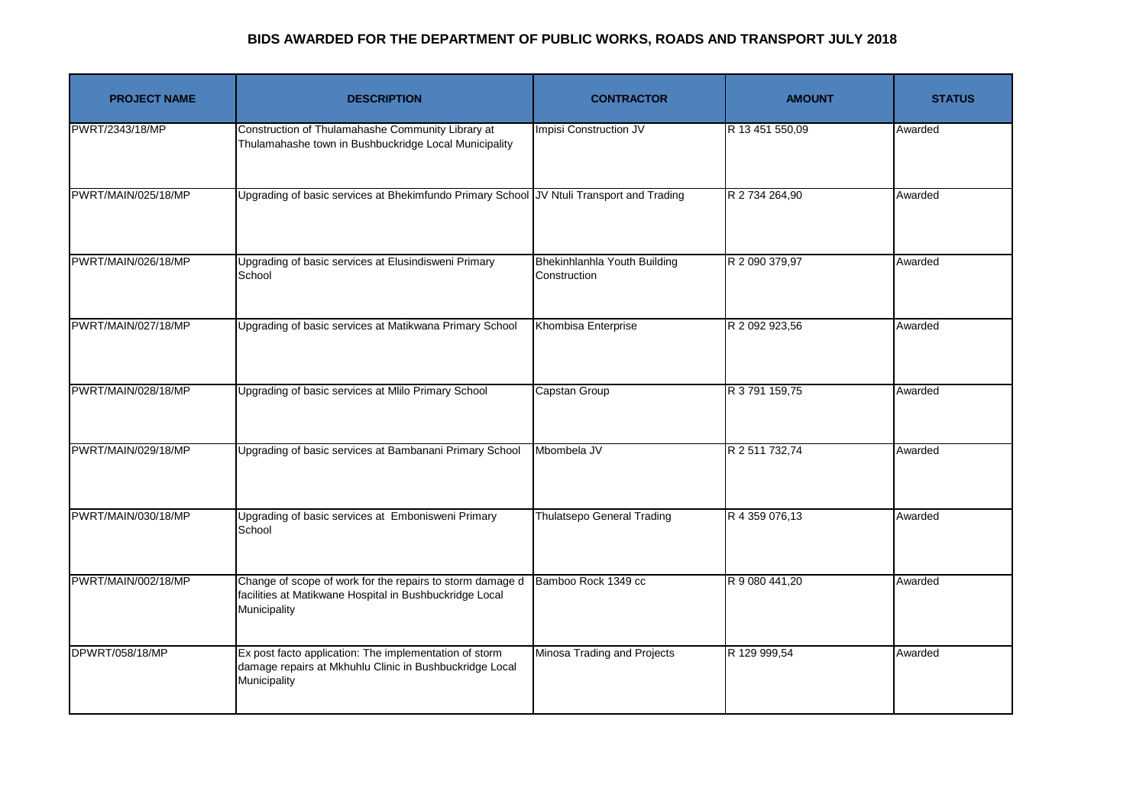| <b>PROJECT NAME</b> | <b>DESCRIPTION</b>                                                                                                                   | <b>CONTRACTOR</b>                            | <b>AMOUNT</b>   | <b>STATUS</b> |
|---------------------|--------------------------------------------------------------------------------------------------------------------------------------|----------------------------------------------|-----------------|---------------|
| PWRT/2343/18/MP     | Construction of Thulamahashe Community Library at<br>Thulamahashe town in Bushbuckridge Local Municipality                           | Impisi Construction JV                       | R 13 451 550,09 | Awarded       |
| PWRT/MAIN/025/18/MP | Upgrading of basic services at Bhekimfundo Primary School JV Ntuli Transport and Trading                                             |                                              | R 2 734 264,90  | Awarded       |
| PWRT/MAIN/026/18/MP | Upgrading of basic services at Elusindisweni Primary<br>School                                                                       | Bhekinhlanhla Youth Building<br>Construction | R 2 090 379,97  | Awarded       |
| PWRT/MAIN/027/18/MP | Upgrading of basic services at Matikwana Primary School                                                                              | Khombisa Enterprise                          | R 2 092 923,56  | Awarded       |
| PWRT/MAIN/028/18/MP | Upgrading of basic services at Mlilo Primary School                                                                                  | Capstan Group                                | R 3 791 159,75  | Awarded       |
| PWRT/MAIN/029/18/MP | Upgrading of basic services at Bambanani Primary School                                                                              | Mbombela JV                                  | R 2 511 732,74  | Awarded       |
| PWRT/MAIN/030/18/MP | Upgrading of basic services at Embonisweni Primary<br>School                                                                         | <b>Thulatsepo General Trading</b>            | R 4 359 076,13  | Awarded       |
| PWRT/MAIN/002/18/MP | Change of scope of work for the repairs to storm damage d<br>facilities at Matikwane Hospital in Bushbuckridge Local<br>Municipality | Bamboo Rock 1349 cc                          | R 9 080 441,20  | Awarded       |
| DPWRT/058/18/MP     | Ex post facto application: The implementation of storm<br>damage repairs at Mkhuhlu Clinic in Bushbuckridge Local<br>Municipality    | Minosa Trading and Projects                  | R 129 999,54    | Awarded       |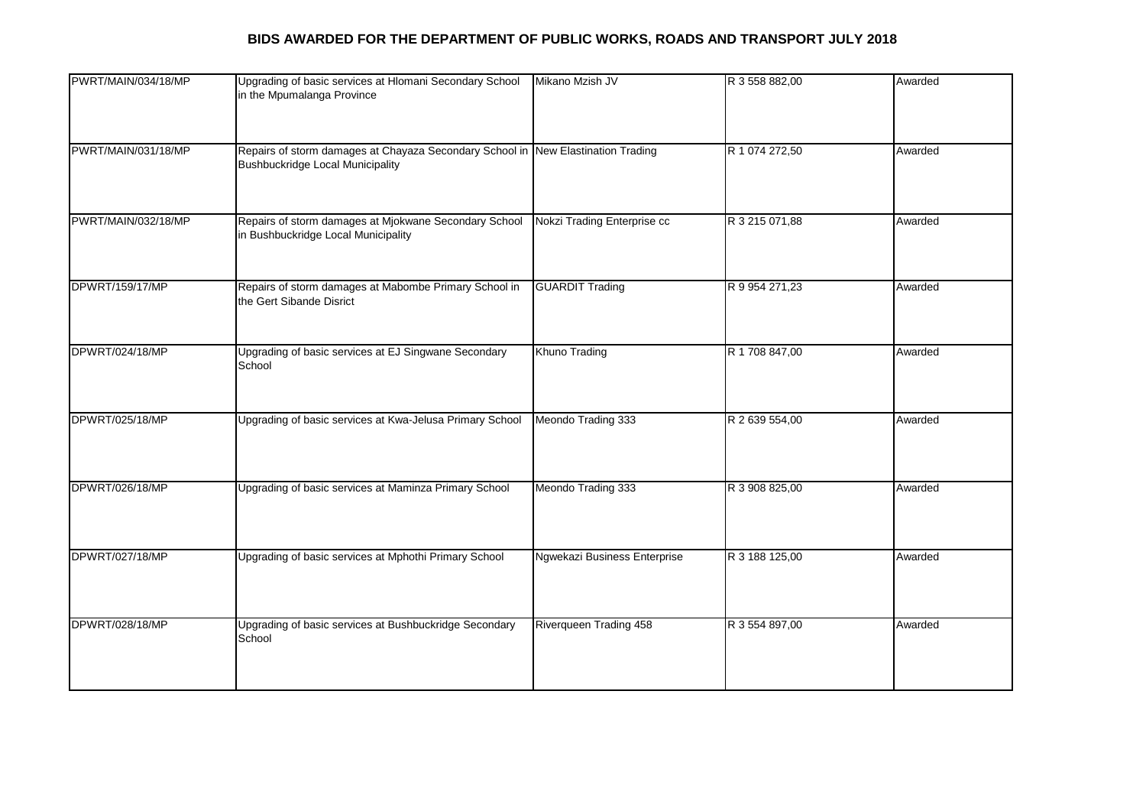| PWRT/MAIN/034/18/MP | Upgrading of basic services at Hlomani Secondary School<br>in the Mpumalanga Province                                       | Mikano Mzish JV              | R 3 558 882,00 | Awarded |
|---------------------|-----------------------------------------------------------------------------------------------------------------------------|------------------------------|----------------|---------|
| PWRT/MAIN/031/18/MP | Repairs of storm damages at Chayaza Secondary School in New Elastination Trading<br><b>Bushbuckridge Local Municipality</b> |                              | R 1 074 272,50 | Awarded |
| PWRT/MAIN/032/18/MP | Repairs of storm damages at Mjokwane Secondary School<br>in Bushbuckridge Local Municipality                                | Nokzi Trading Enterprise cc  | R 3 215 071,88 | Awarded |
| DPWRT/159/17/MP     | Repairs of storm damages at Mabombe Primary School in<br>the Gert Sibande Disrict                                           | <b>GUARDIT Trading</b>       | R 9 954 271,23 | Awarded |
| DPWRT/024/18/MP     | Upgrading of basic services at EJ Singwane Secondary<br>School                                                              | Khuno Trading                | R 1 708 847,00 | Awarded |
| DPWRT/025/18/MP     | Upgrading of basic services at Kwa-Jelusa Primary School                                                                    | Meondo Trading 333           | R 2 639 554,00 | Awarded |
| DPWRT/026/18/MP     | Upgrading of basic services at Maminza Primary School                                                                       | Meondo Trading 333           | R 3 908 825,00 | Awarded |
| DPWRT/027/18/MP     | Upgrading of basic services at Mphothi Primary School                                                                       | Ngwekazi Business Enterprise | R 3 188 125,00 | Awarded |
| DPWRT/028/18/MP     | Upgrading of basic services at Bushbuckridge Secondary<br>School                                                            | Riverqueen Trading 458       | R 3 554 897,00 | Awarded |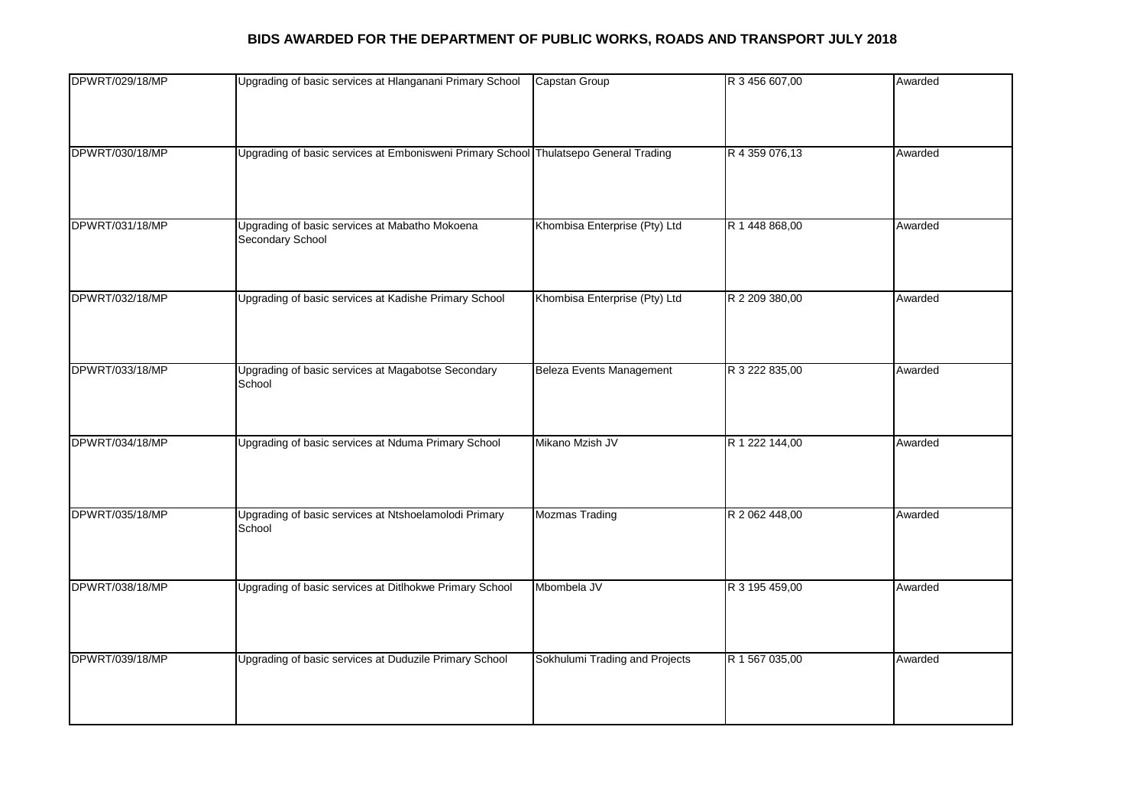| DPWRT/029/18/MP | Upgrading of basic services at Hlanganani Primary School                             | Capstan Group                   | R 3 456 607,00 | Awarded |
|-----------------|--------------------------------------------------------------------------------------|---------------------------------|----------------|---------|
|                 |                                                                                      |                                 |                |         |
|                 |                                                                                      |                                 |                |         |
|                 |                                                                                      |                                 |                |         |
| DPWRT/030/18/MP | Upgrading of basic services at Embonisweni Primary School Thulatsepo General Trading |                                 | R 4 359 076,13 | Awarded |
|                 |                                                                                      |                                 |                |         |
|                 |                                                                                      |                                 |                |         |
|                 |                                                                                      |                                 |                |         |
| DPWRT/031/18/MP | Upgrading of basic services at Mabatho Mokoena<br>Secondary School                   | Khombisa Enterprise (Pty) Ltd   | R 1 448 868,00 | Awarded |
|                 |                                                                                      |                                 |                |         |
|                 |                                                                                      |                                 |                |         |
| DPWRT/032/18/MP | Upgrading of basic services at Kadishe Primary School                                | Khombisa Enterprise (Pty) Ltd   | R 2 209 380,00 | Awarded |
|                 |                                                                                      |                                 |                |         |
|                 |                                                                                      |                                 |                |         |
|                 |                                                                                      |                                 |                |         |
| DPWRT/033/18/MP | Upgrading of basic services at Magabotse Secondary                                   | <b>Beleza Events Management</b> | R 3 222 835,00 | Awarded |
|                 | School                                                                               |                                 |                |         |
|                 |                                                                                      |                                 |                |         |
|                 |                                                                                      |                                 |                |         |
| DPWRT/034/18/MP | Upgrading of basic services at Nduma Primary School                                  | Mikano Mzish JV                 | R 1 222 144,00 | Awarded |
|                 |                                                                                      |                                 |                |         |
|                 |                                                                                      |                                 |                |         |
|                 |                                                                                      |                                 |                |         |
| DPWRT/035/18/MP | Upgrading of basic services at Ntshoelamolodi Primary                                | <b>Mozmas Trading</b>           | R 2 062 448,00 | Awarded |
|                 | School                                                                               |                                 |                |         |
|                 |                                                                                      |                                 |                |         |
|                 |                                                                                      |                                 |                |         |
| DPWRT/038/18/MP | Upgrading of basic services at Ditlhokwe Primary School                              | Mbombela JV                     | R 3 195 459,00 | Awarded |
|                 |                                                                                      |                                 |                |         |
|                 |                                                                                      |                                 |                |         |
| DPWRT/039/18/MP | Upgrading of basic services at Duduzile Primary School                               | Sokhulumi Trading and Projects  | R 1 567 035,00 | Awarded |
|                 |                                                                                      |                                 |                |         |
|                 |                                                                                      |                                 |                |         |
|                 |                                                                                      |                                 |                |         |
|                 |                                                                                      |                                 |                |         |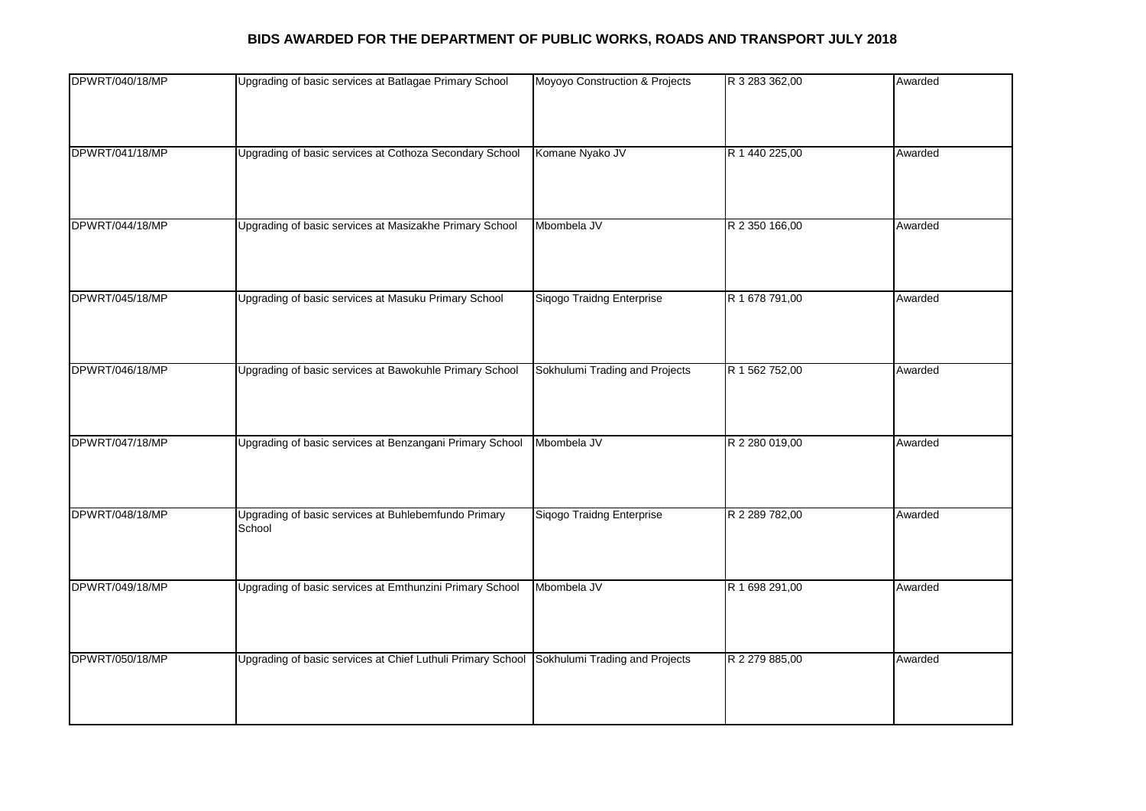| DPWRT/040/18/MP | Upgrading of basic services at Batlagae Primary School                                     | Moyoyo Construction & Projects | R 3 283 362,00 | Awarded |
|-----------------|--------------------------------------------------------------------------------------------|--------------------------------|----------------|---------|
|                 |                                                                                            |                                |                |         |
|                 |                                                                                            |                                |                |         |
|                 |                                                                                            |                                |                |         |
| DPWRT/041/18/MP | Upgrading of basic services at Cothoza Secondary School                                    | Komane Nyako JV                | R 1 440 225,00 | Awarded |
|                 |                                                                                            |                                |                |         |
|                 |                                                                                            |                                |                |         |
|                 |                                                                                            |                                |                |         |
| DPWRT/044/18/MP | Upgrading of basic services at Masizakhe Primary School                                    | Mbombela JV                    | R 2 350 166,00 | Awarded |
|                 |                                                                                            |                                |                |         |
|                 |                                                                                            |                                |                |         |
|                 |                                                                                            |                                |                |         |
| DPWRT/045/18/MP | Upgrading of basic services at Masuku Primary School                                       | Siqogo Traidng Enterprise      | R 1 678 791,00 | Awarded |
|                 |                                                                                            |                                |                |         |
|                 |                                                                                            |                                |                |         |
|                 |                                                                                            |                                |                |         |
| DPWRT/046/18/MP | Upgrading of basic services at Bawokuhle Primary School                                    | Sokhulumi Trading and Projects | R 1 562 752,00 | Awarded |
|                 |                                                                                            |                                |                |         |
|                 |                                                                                            |                                |                |         |
| DPWRT/047/18/MP | Upgrading of basic services at Benzangani Primary School                                   | Mbombela JV                    | R 2 280 019,00 | Awarded |
|                 |                                                                                            |                                |                |         |
|                 |                                                                                            |                                |                |         |
|                 |                                                                                            |                                |                |         |
| DPWRT/048/18/MP | Upgrading of basic services at Buhlebemfundo Primary                                       | Siqogo Traidng Enterprise      | R 2 289 782,00 | Awarded |
|                 | School                                                                                     |                                |                |         |
|                 |                                                                                            |                                |                |         |
|                 |                                                                                            |                                |                |         |
| DPWRT/049/18/MP | Upgrading of basic services at Emthunzini Primary School                                   | Mbombela JV                    | R 1 698 291,00 | Awarded |
|                 |                                                                                            |                                |                |         |
|                 |                                                                                            |                                |                |         |
|                 |                                                                                            |                                |                |         |
| DPWRT/050/18/MP | Upgrading of basic services at Chief Luthuli Primary School Sokhulumi Trading and Projects |                                | R 2 279 885,00 | Awarded |
|                 |                                                                                            |                                |                |         |
|                 |                                                                                            |                                |                |         |
|                 |                                                                                            |                                |                |         |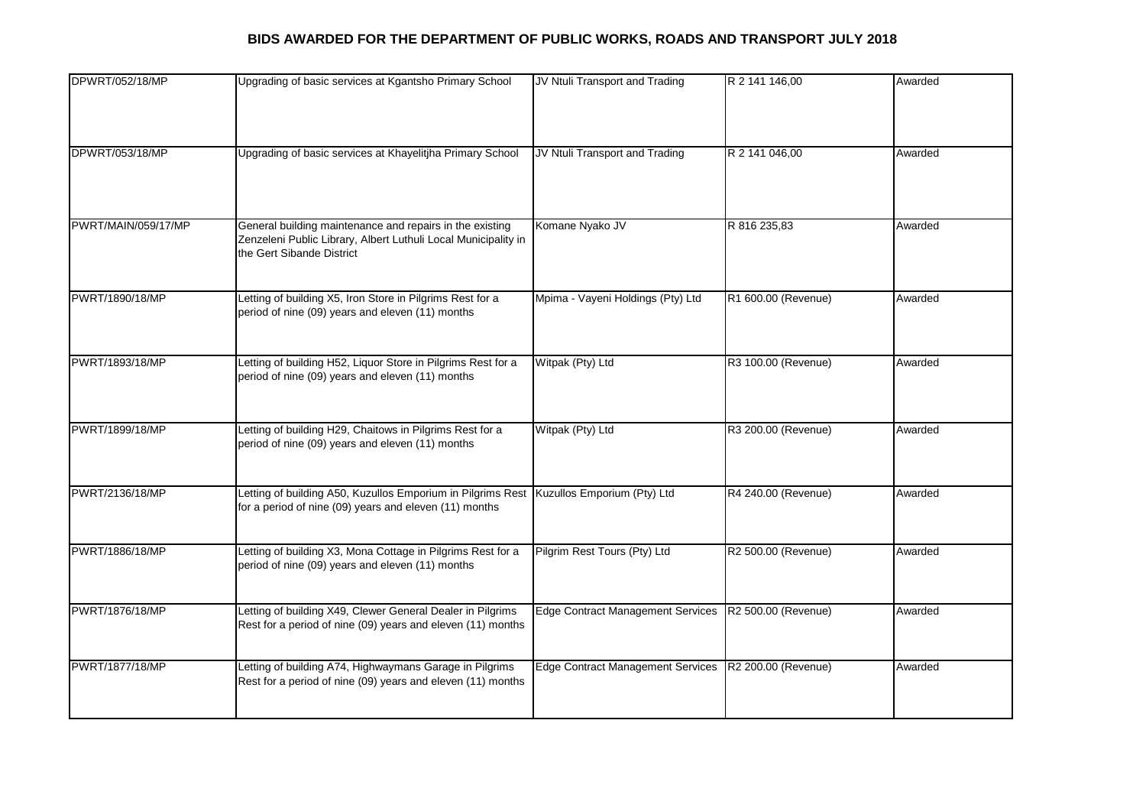| DPWRT/052/18/MP     | Upgrading of basic services at Kgantsho Primary School                                  | JV Ntuli Transport and Trading           | R 2 141 146,00      | Awarded |
|---------------------|-----------------------------------------------------------------------------------------|------------------------------------------|---------------------|---------|
|                     |                                                                                         |                                          |                     |         |
|                     |                                                                                         |                                          |                     |         |
|                     |                                                                                         |                                          |                     |         |
| DPWRT/053/18/MP     | Upgrading of basic services at Khayelitjha Primary School                               | JV Ntuli Transport and Trading           | R 2 141 046,00      | Awarded |
|                     |                                                                                         |                                          |                     |         |
|                     |                                                                                         |                                          |                     |         |
| PWRT/MAIN/059/17/MP | General building maintenance and repairs in the existing                                | Komane Nyako JV                          | R 816 235,83        | Awarded |
|                     | Zenzeleni Public Library, Albert Luthuli Local Municipality in                          |                                          |                     |         |
|                     | the Gert Sibande District                                                               |                                          |                     |         |
|                     |                                                                                         |                                          |                     |         |
| PWRT/1890/18/MP     | Letting of building X5, Iron Store in Pilgrims Rest for a                               | Mpima - Vayeni Holdings (Pty) Ltd        | R1 600.00 (Revenue) | Awarded |
|                     | period of nine (09) years and eleven (11) months                                        |                                          |                     |         |
|                     |                                                                                         |                                          |                     |         |
| PWRT/1893/18/MP     | Letting of building H52, Liquor Store in Pilgrims Rest for a                            | Witpak (Pty) Ltd                         | R3 100.00 (Revenue) | Awarded |
|                     | period of nine (09) years and eleven (11) months                                        |                                          |                     |         |
|                     |                                                                                         |                                          |                     |         |
|                     |                                                                                         |                                          |                     |         |
| PWRT/1899/18/MP     | Letting of building H29, Chaitows in Pilgrims Rest for a                                | Witpak (Pty) Ltd                         | R3 200.00 (Revenue) | Awarded |
|                     | period of nine (09) years and eleven (11) months                                        |                                          |                     |         |
|                     |                                                                                         |                                          |                     |         |
| PWRT/2136/18/MP     | Letting of building A50, Kuzullos Emporium in Pilgrims Rest Kuzullos Emporium (Pty) Ltd |                                          | R4 240.00 (Revenue) | Awarded |
|                     | for a period of nine (09) years and eleven (11) months                                  |                                          |                     |         |
|                     |                                                                                         |                                          |                     |         |
| PWRT/1886/18/MP     | Letting of building X3, Mona Cottage in Pilgrims Rest for a                             | Pilgrim Rest Tours (Pty) Ltd             | R2 500.00 (Revenue) | Awarded |
|                     | period of nine (09) years and eleven (11) months                                        |                                          |                     |         |
|                     |                                                                                         |                                          |                     |         |
| PWRT/1876/18/MP     | Letting of building X49, Clewer General Dealer in Pilgrims                              | <b>Edge Contract Management Services</b> | R2 500.00 (Revenue) | Awarded |
|                     | Rest for a period of nine (09) years and eleven (11) months                             |                                          |                     |         |
|                     |                                                                                         |                                          |                     |         |
| PWRT/1877/18/MP     | Letting of building A74, Highwaymans Garage in Pilgrims                                 | <b>Edge Contract Management Services</b> | R2 200.00 (Revenue) | Awarded |
|                     | Rest for a period of nine (09) years and eleven (11) months                             |                                          |                     |         |
|                     |                                                                                         |                                          |                     |         |